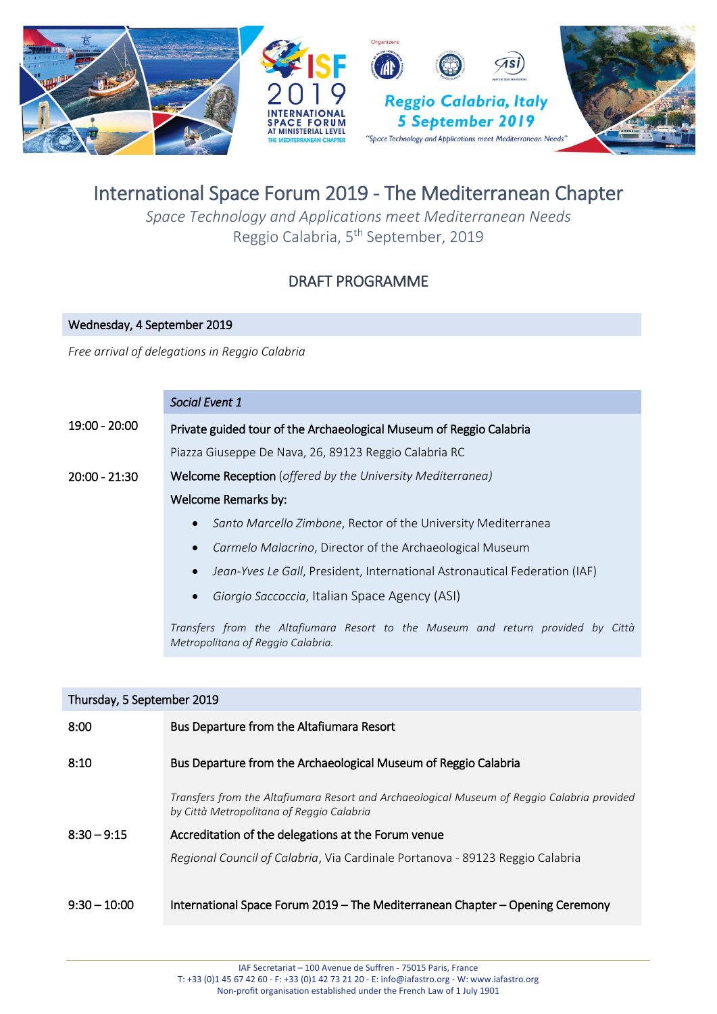

# International Space Forum 2019 - The Mediterranean Chapter

*Space Technology and Applications meet Mediterranean Needs* Reggio Calabria, 5<sup>th</sup> September, 2019

# DRAFT PROGRAMME

# Wednesday, 4 September 2019

*Free arrival of delegations in Reggio Calabria*

## *Social Event 1*

| 19:00 - 20:00   | Private guided tour of the Archaeological Museum of Reggio Calabria                                                   |
|-----------------|-----------------------------------------------------------------------------------------------------------------------|
|                 | Piazza Giuseppe De Nava, 26, 89123 Reggio Calabria RC                                                                 |
| $20:00 - 21:30$ | Welcome Reception (offered by the University Mediterranea)                                                            |
|                 | Welcome Remarks by:                                                                                                   |
|                 | Santo Marcello Zimbone, Rector of the University Mediterranea<br>$\bullet$                                            |
|                 | Carmelo Malacrino, Director of the Archaeological Museum<br>$\bullet$                                                 |
|                 | Jean-Yves Le Gall, President, International Astronautical Federation (IAF)<br>$\bullet$                               |
|                 | Giorgio Saccoccia, Italian Space Agency (ASI)<br>$\bullet$                                                            |
|                 | Transfers from the Altafiumara Resort to the Museum and return provided by Città<br>Metropolitana of Reggio Calabria. |

| Thursday, 5 September 2019 |                                                                                                                                          |  |
|----------------------------|------------------------------------------------------------------------------------------------------------------------------------------|--|
| 8:00                       | Bus Departure from the Altafiumara Resort                                                                                                |  |
| 8:10                       | Bus Departure from the Archaeological Museum of Reggio Calabria                                                                          |  |
|                            | Transfers from the Altafiumara Resort and Archaeological Museum of Reggio Calabria provided<br>by Città Metropolitana of Reggio Calabria |  |
| $8:30 - 9:15$              | Accreditation of the delegations at the Forum venue                                                                                      |  |
|                            | Regional Council of Calabria, Via Cardinale Portanova - 89123 Reggio Calabria                                                            |  |
| $9:30 - 10:00$             | International Space Forum 2019 – The Mediterranean Chapter – Opening Ceremony                                                            |  |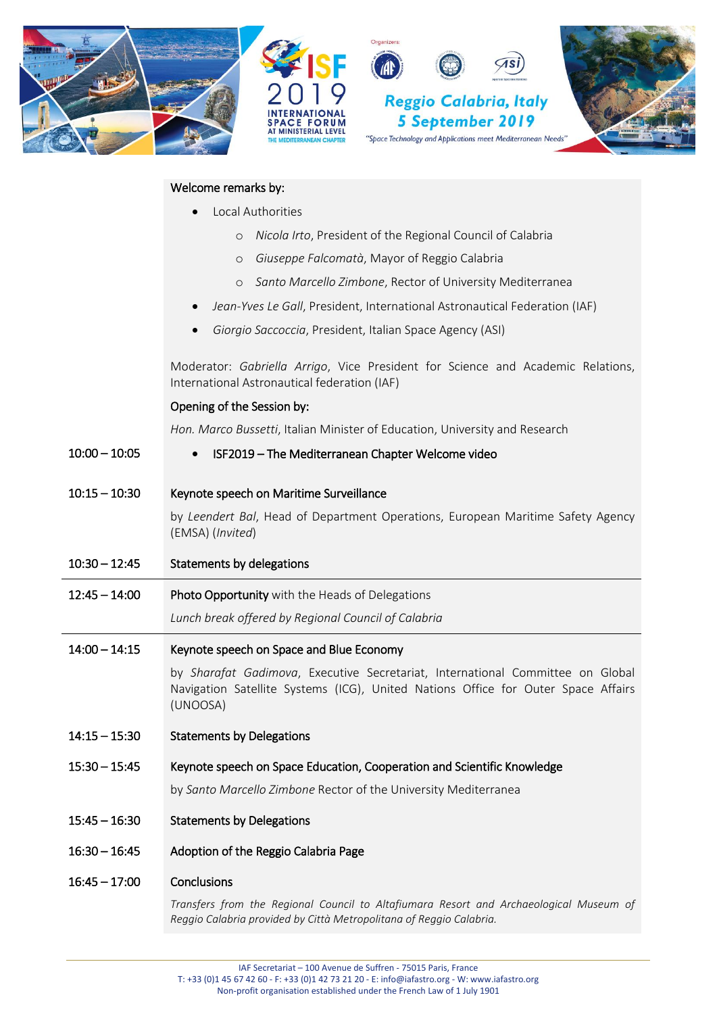

#### Welcome remarks by:

- Local Authorities
	- o *Nicola Irto*, President of the Regional Council of Calabria
	- o *Giuseppe Falcomatà*, Mayor of Reggio Calabria
	- o *Santo Marcello Zimbone*, Rector of University Mediterranea
- *Jean-Yves Le Gall*, President, International Astronautical Federation (IAF)
- *Giorgio Saccoccia*, President, Italian Space Agency (ASI)

Moderator: *Gabriella Arrigo*, Vice President for Science and Academic Relations, International Astronautical federation (IAF)

#### Opening of the Session by:

*Hon. Marco Bussetti*, Italian Minister of Education, University and Research

- 10:00 10:05 ISF2019 The Mediterranean Chapter Welcome video
- 10:15 10:30 Keynote speech on Maritime Surveillance

by *Leendert Bal*, Head of Department Operations, European Maritime Safety Agency (EMSA) (*Invited*)

- 10:30 12:45 Statements by delegations
- 12:45 14:00 Photo Opportunity with the Heads of Delegations

*Lunch break offered by Regional Council of Calabria*

#### 14:00 – 14:15 Keynote speech on Space and Blue Economy

by *Sharafat Gadimova*, Executive Secretariat, International Committee on Global Navigation Satellite Systems (ICG), United Nations Office for Outer Space Affairs (UNOOSA)

14:15 – 15:30 Statements by Delegations

#### 15:30 – 15:45 Keynote speech on Space Education, Cooperation and Scientific Knowledge

by *Santo Marcello Zimbone* Rector of the University Mediterranea

- 15:45 16:30 Statements by Delegations
- 16:30 16:45 Adoption of the Reggio Calabria Page
- 16:45 17:00 Conclusions

*Transfers from the Regional Council to Altafiumara Resort and Archaeological Museum of Reggio Calabria provided by Città Metropolitana of Reggio Calabria.*